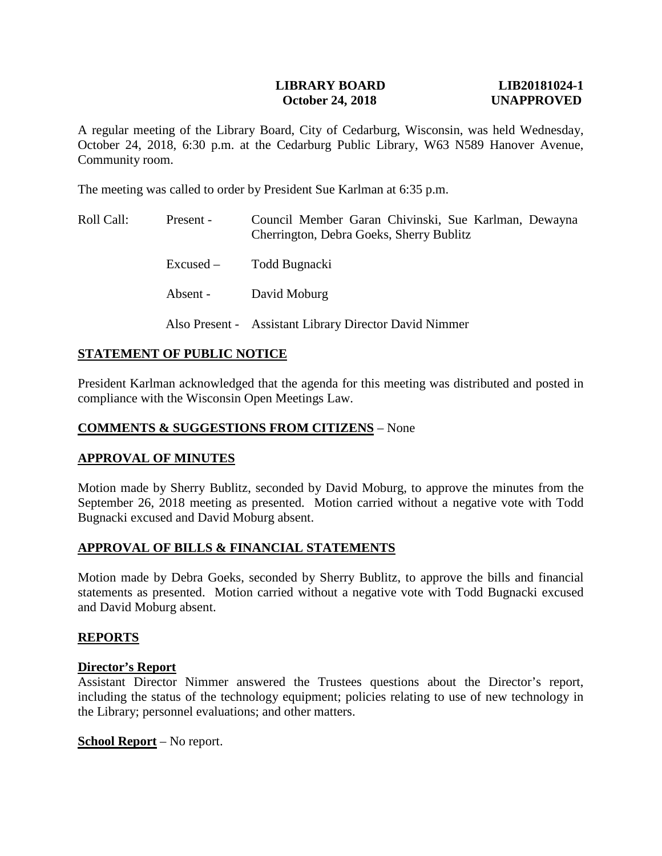# **LIBRARY BOARD LIB20181024-1 October 24, 2018** UNAPPROVED

A regular meeting of the Library Board, City of Cedarburg, Wisconsin, was held Wednesday, October 24, 2018, 6:30 p.m. at the Cedarburg Public Library, W63 N589 Hanover Avenue, Community room.

The meeting was called to order by President Sue Karlman at 6:35 p.m.

| Roll Call: | Present - | Council Member Garan Chivinski, Sue Karlman, Dewayna<br>Cherrington, Debra Goeks, Sherry Bublitz |
|------------|-----------|--------------------------------------------------------------------------------------------------|
|            |           | Excused – Todd Bugnacki                                                                          |
|            | Absent -  | David Moburg                                                                                     |
|            |           | Also Present - Assistant Library Director David Nimmer                                           |

# **STATEMENT OF PUBLIC NOTICE**

President Karlman acknowledged that the agenda for this meeting was distributed and posted in compliance with the Wisconsin Open Meetings Law.

# **COMMENTS & SUGGESTIONS FROM CITIZENS** – None

# **APPROVAL OF MINUTES**

Motion made by Sherry Bublitz, seconded by David Moburg, to approve the minutes from the September 26, 2018 meeting as presented. Motion carried without a negative vote with Todd Bugnacki excused and David Moburg absent.

# **APPROVAL OF BILLS & FINANCIAL STATEMENTS**

Motion made by Debra Goeks, seconded by Sherry Bublitz, to approve the bills and financial statements as presented. Motion carried without a negative vote with Todd Bugnacki excused and David Moburg absent.

#### **REPORTS**

# **Director's Report**

Assistant Director Nimmer answered the Trustees questions about the Director's report, including the status of the technology equipment; policies relating to use of new technology in the Library; personnel evaluations; and other matters.

#### **School Report** – No report.